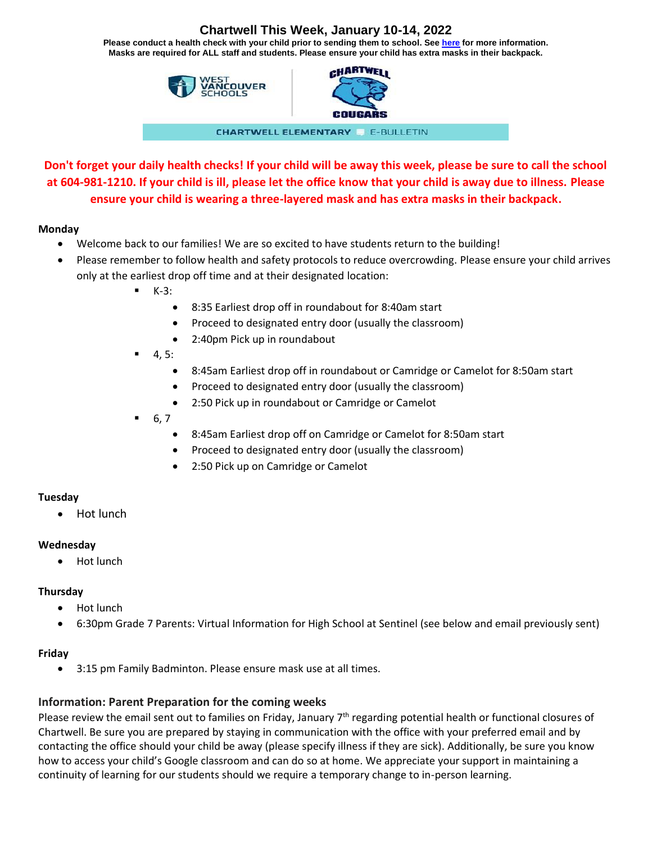# **Chartwell This Week, January 10-14, 2022**

**Please conduct a health check with your child prior to sending them to school. See [here](https://www.k12dailycheck.gov.bc.ca/healthcheck?execution=e2s1) for more information. Masks are required for ALL staff and students. Please ensure your child has extra masks in their backpack.**





**CHARTWELL ELEMENTARY E-BULLETIN** 

**Don't forget your daily health checks! If your child will be away this week, please be sure to call the school at 604-981-1210. If your child is ill, please let the office know that your child is away due to illness. Please ensure your child is wearing a three-layered mask and has extra masks in their backpack.**

## **Monday**

- Welcome back to our families! We are so excited to have students return to the building!
- Please remember to follow health and safety protocols to reduce overcrowding. Please ensure your child arrives only at the earliest drop off time and at their designated location:
	- $K-3$ :
		- 8:35 Earliest drop off in roundabout for 8:40am start
		- Proceed to designated entry door (usually the classroom)
		- 2:40pm Pick up in roundabout
	- $4, 5:$ 
		- 8:45am Earliest drop off in roundabout or Camridge or Camelot for 8:50am start
		- Proceed to designated entry door (usually the classroom)
		- 2:50 Pick up in roundabout or Camridge or Camelot
	- $-6, 7$ 
		- 8:45am Earliest drop off on Camridge or Camelot for 8:50am start
		- Proceed to designated entry door (usually the classroom)
		- 2:50 Pick up on Camridge or Camelot

## **Tuesday**

• Hot lunch

## **Wednesday**

• Hot lunch

## **Thursday**

- Hot lunch
- 6:30pm Grade 7 Parents: Virtual Information for High School at Sentinel (see below and email previously sent)

## **Friday**

• 3:15 pm Family Badminton. Please ensure mask use at all times.

# **Information: Parent Preparation for the coming weeks**

Please review the email sent out to families on Friday, January 7<sup>th</sup> regarding potential health or functional closures of Chartwell. Be sure you are prepared by staying in communication with the office with your preferred email and by contacting the office should your child be away (please specify illness if they are sick). Additionally, be sure you know how to access your child's Google classroom and can do so at home. We appreciate your support in maintaining a continuity of learning for our students should we require a temporary change to in-person learning.